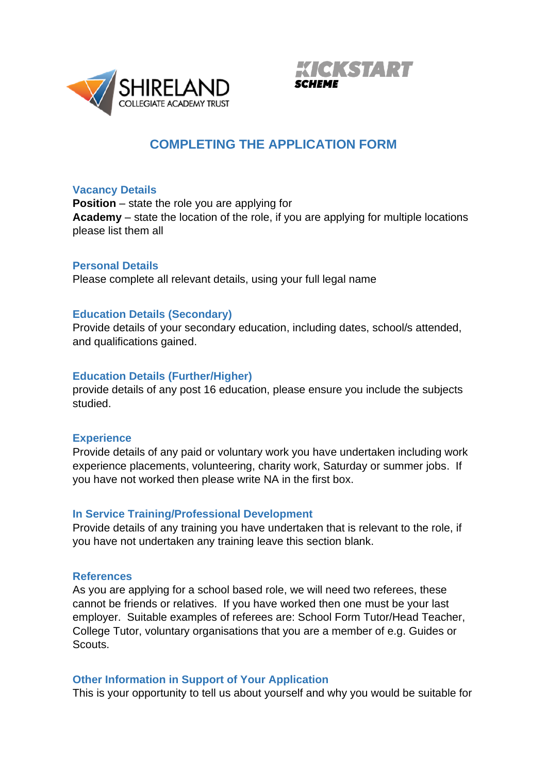



# **COMPLETING THE APPLICATION FORM**

#### **Vacancy Details**

**Position** – state the role you are applying for **Academy** – state the location of the role, if you are applying for multiple locations please list them all

#### **Personal Details**

Please complete all relevant details, using your full legal name

#### **Education Details (Secondary)**

Provide details of your secondary education, including dates, school/s attended, and qualifications gained.

#### **Education Details (Further/Higher)**

provide details of any post 16 education, please ensure you include the subjects studied.

#### **Experience**

Provide details of any paid or voluntary work you have undertaken including work experience placements, volunteering, charity work, Saturday or summer jobs. If you have not worked then please write NA in the first box.

#### **In Service Training/Professional Development**

Provide details of any training you have undertaken that is relevant to the role, if you have not undertaken any training leave this section blank.

#### **References**

As you are applying for a school based role, we will need two referees, these cannot be friends or relatives. If you have worked then one must be your last employer. Suitable examples of referees are: School Form Tutor/Head Teacher, College Tutor, voluntary organisations that you are a member of e.g. Guides or Scouts.

#### **Other Information in Support of Your Application**

This is your opportunity to tell us about yourself and why you would be suitable for